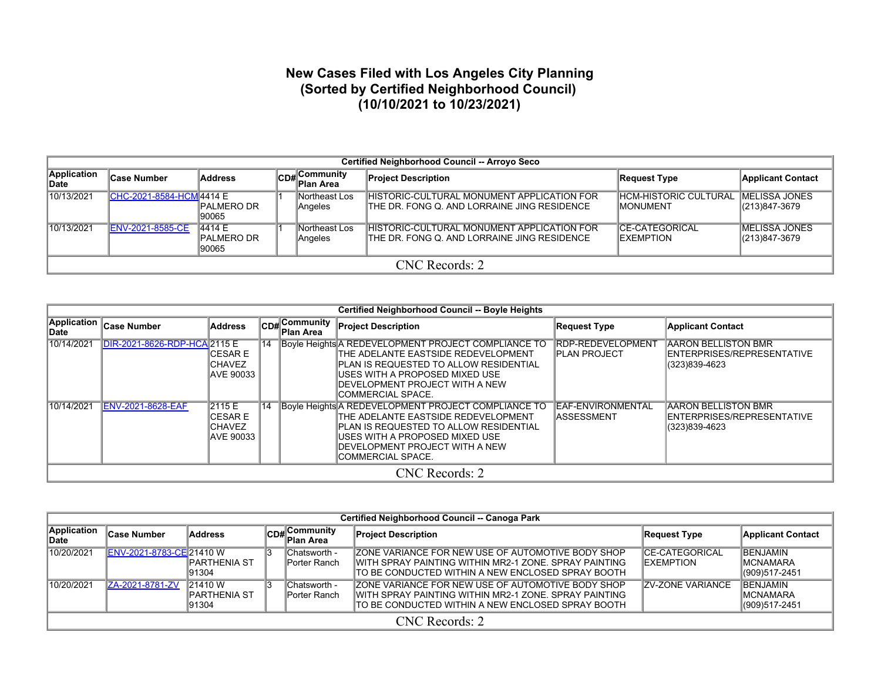## **New Cases Filed with Los Angeles City Planning (Sorted by Certified Neighborhood Council) (10/10/2021 to 10/23/2021)**

|                     | Certified Neighborhood Council -- Arroyo Seco |                               |  |                            |                                                                                             |                                             |                                        |  |  |  |  |  |  |
|---------------------|-----------------------------------------------|-------------------------------|--|----------------------------|---------------------------------------------------------------------------------------------|---------------------------------------------|----------------------------------------|--|--|--|--|--|--|
| Application<br>Date | <b>Case Number</b>                            | <b>Address</b>                |  | CD# Community<br>Plan Area | <b>Project Description</b>                                                                  | Request Type                                | <b>Applicant Contact</b>               |  |  |  |  |  |  |
| 10/13/2021          | CHC-2021-8584-HCM 4414 E                      | IPALMERO DR<br>90065          |  | Northeast Los<br>Angeles   | IHISTORIC-CULTURAL MONUMENT APPLICATION FOR<br>ITHE DR. FONG Q. AND LORRAINE JING RESIDENCE | HCM-HISTORIC CULTURAL<br><b>IMONUMENT</b>   | <b>IMELISSA JONES</b><br>(213)847-3679 |  |  |  |  |  |  |
| 10/13/2021          | <b>ENV-2021-8585-CE</b>                       | 4414 E<br>PALMERO DR<br>90065 |  | Northeast Los<br>Angeles   | HISTORIC-CULTURAL MONUMENT APPLICATION FOR<br>ITHE DR. FONG Q. AND LORRAINE JING RESIDENCE  | <b>ICE-CATEGORICAL</b><br><b>IEXEMPTION</b> | <b>IMELISSA JONES</b><br>(213)847-3679 |  |  |  |  |  |  |
|                     | CNC Records: 2                                |                               |  |                            |                                                                                             |                                             |                                        |  |  |  |  |  |  |

|                      | <b>Certified Neighborhood Council -- Boyle Heights</b> |                                                   |    |                                        |                                                                                                                                                                                                                                   |                                                  |                                                                           |  |  |  |  |  |
|----------------------|--------------------------------------------------------|---------------------------------------------------|----|----------------------------------------|-----------------------------------------------------------------------------------------------------------------------------------------------------------------------------------------------------------------------------------|--------------------------------------------------|---------------------------------------------------------------------------|--|--|--|--|--|
| Application<br>∣Date | <b>Case Number</b>                                     | <b>Address</b>                                    |    | $ CDH $ Community<br><b>∥Plan Area</b> | <b>Project Description</b>                                                                                                                                                                                                        | <b>Request Type</b>                              | <b>Applicant Contact</b>                                                  |  |  |  |  |  |
| 10/14/2021           | DIR-2021-8626-RDP-HCA2115 E                            | ICESAR E<br><b>ICHAVEZ</b><br>AVE 90033           | 14 |                                        | Boyle Heights A REDEVELOPMENT PROJECT COMPLIANCE TO<br>THE ADELANTE EASTSIDE REDEVELOPMENT<br>IPLAN IS REQUESTED TO ALLOW RESIDENTIAL<br>IUSES WITH A PROPOSED MIXED USE<br>IDEVELOPMENT PROJECT WITH A NEW<br>ICOMMERCIAL SPACE. | <b>RDP-REDEVELOPMENT</b><br><b>IPLAN PROJECT</b> | <b>AARON BELLISTON BMR</b><br>ENTERPRISES/REPRESENTATIVE<br>(323)839-4623 |  |  |  |  |  |
| 10/14/2021           | <b>ENV-2021-8628-EAF</b>                               | 2115 E<br>ICESAR E<br><b>CHAVEZ</b><br>IAVE 90033 | 14 |                                        | Boyle Heights A REDEVELOPMENT PROJECT COMPLIANCE TO<br>THE ADELANTE EASTSIDE REDEVELOPMENT<br>IPLAN IS REQUESTED TO ALLOW RESIDENTIAL<br>IUSES WITH A PROPOSED MIXED USE<br>IDEVELOPMENT PROJECT WITH A NEW<br>ICOMMERCIAL SPACE. | <b>EAF-ENVIRONMENTAL</b><br><b>ASSESSMENT</b>    | <b>AARON BELLISTON BMR</b><br>ENTERPRISES/REPRESENTATIVE<br>(323)839-4623 |  |  |  |  |  |
|                      |                                                        |                                                   |    |                                        | CNC Records: 2                                                                                                                                                                                                                    |                                                  |                                                                           |  |  |  |  |  |

|                      | Certified Neighborhood Council -- Canoga Park |                                  |  |                               |                                                                                                                                                                           |                                             |                                                           |  |  |  |  |  |  |  |
|----------------------|-----------------------------------------------|----------------------------------|--|-------------------------------|---------------------------------------------------------------------------------------------------------------------------------------------------------------------------|---------------------------------------------|-----------------------------------------------------------|--|--|--|--|--|--|--|
| Application<br>∣Date | <b>Case Number</b>                            | <b>Address</b>                   |  | CD#Community<br>Plan Area     | <b>Project Description</b>                                                                                                                                                | Request Type                                | <b>Applicant Contact</b>                                  |  |  |  |  |  |  |  |
| 10/20/2021           | ENV-2021-8783-CE 21410 W                      | IPARTHENIA ST<br>91304           |  | Chatsworth -<br>lPorter Ranch | <b>IZONE VARIANCE FOR NEW USE OF AUTOMOTIVE BODY SHOP</b><br>IWITH SPRAY PAINTING WITHIN MR2-1 ZONE, SPRAY PAINTING<br>ITO BE CONDUCTED WITHIN A NEW ENCLOSED SPRAY BOOTH | <b>ICE-CATEGORICAL</b><br><b>IEXEMPTION</b> | <b>BENJAMIN</b><br><b>IMCNAMARA</b><br>(909)517-2451      |  |  |  |  |  |  |  |
| 10/20/2021           | ZA-2021-8781-ZV                               | 21410W<br>IPARTHENIA ST<br>91304 |  | Chatsworth -<br>lPorter Ranch | <b>IZONE VARIANCE FOR NEW USE OF AUTOMOTIVE BODY SHOP</b><br>IWITH SPRAY PAINTING WITHIN MR2-1 ZONE, SPRAY PAINTING<br>ITO BE CONDUCTED WITHIN A NEW ENCLOSED SPRAY BOOTH | <b>ZV-ZONE VARIANCE</b>                     | <b>BENJAMIN</b><br><b>IMCNAMARA</b><br>$ (909)517 - 2451$ |  |  |  |  |  |  |  |
|                      |                                               |                                  |  |                               | CNC Records: 2                                                                                                                                                            |                                             |                                                           |  |  |  |  |  |  |  |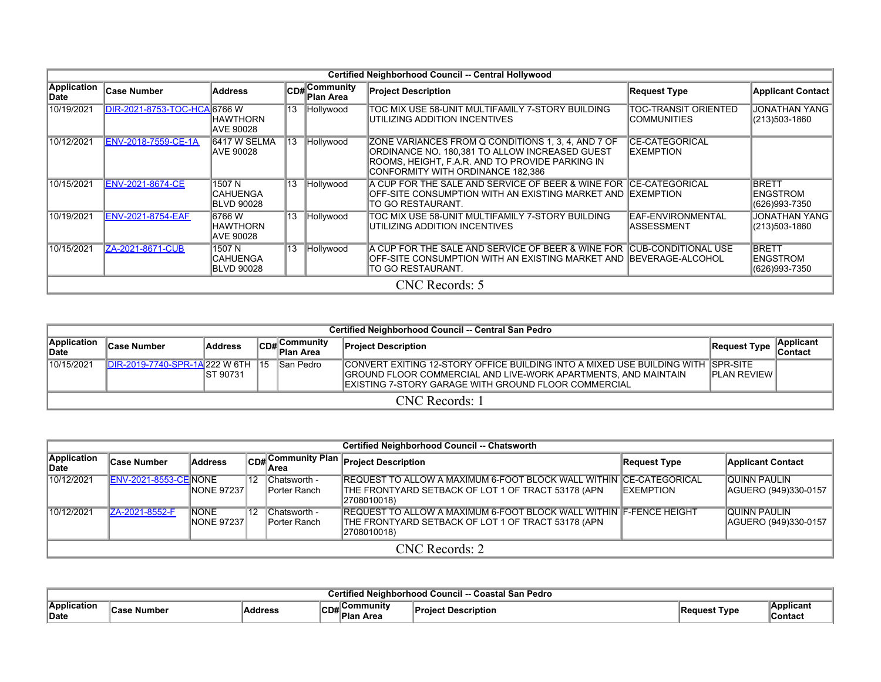|                                   |                              |                                                |                 |                              | Certified Neighborhood Council -- Central Hollywood                                                                                                                                          |                                            |                                                  |  |
|-----------------------------------|------------------------------|------------------------------------------------|-----------------|------------------------------|----------------------------------------------------------------------------------------------------------------------------------------------------------------------------------------------|--------------------------------------------|--------------------------------------------------|--|
| <b>Application</b><br><b>Date</b> | <b>Case Number</b>           | <b>Address</b>                                 |                 | $CD#$ Community<br>Plan Area | <b>Project Description</b>                                                                                                                                                                   | <b>Request Type</b>                        | <b>Applicant Contact</b>                         |  |
| 10/19/2021                        | DIR-2021-8753-TOC-HCA 6766 W | <b>HAWTHORN</b><br>AVE 90028                   | $\overline{13}$ | Hollywood                    | TOC MIX USE 58-UNIT MULTIFAMILY 7-STORY BUILDING<br>UTILIZING ADDITION INCENTIVES                                                                                                            | TOC-TRANSIT ORIENTED<br>ICOMMUNITIES       | <b>JONATHAN YANG</b><br>(213)503-1860            |  |
| 10/12/2021                        | ENV-2018-7559-CE-1A          | 6417 W SELMA<br><b>AVE 90028</b>               | 13              | Hollywood                    | ZONE VARIANCES FROM Q CONDITIONS 1, 3, 4, AND 7 OF<br>ORDINANCE NO. 180,381 TO ALLOW INCREASED GUEST<br>ROOMS, HEIGHT, F.A.R. AND TO PROVIDE PARKING IN<br>CONFORMITY WITH ORDINANCE 182,386 | <b>CE-CATEGORICAL</b><br><b>IEXEMPTION</b> |                                                  |  |
| 10/15/2021                        | ENV-2021-8674-CE             | 1507 N<br><b>ICAHUENGA</b><br>BLVD 90028       | $\overline{13}$ | Hollywood                    | A CUP FOR THE SALE AND SERVICE OF BEER & WINE FOR ICE-CATEGORICAL<br>IOFF-SITE CONSUMPTION WITH AN EXISTING MARKET AND IEXEMPTION<br>TO GO RESTAURANT.                                       |                                            | <b>BRETT</b><br><b>ENGSTROM</b><br>(626)993-7350 |  |
| 10/19/2021                        | <b>ENV-2021-8754-EAF</b>     | 16766 W<br>HAWTHORN<br><b>JAVE 90028</b>       | $\overline{13}$ | Hollywood                    | TOC MIX USE 58-UNIT MULTIFAMILY 7-STORY BUILDING<br>UTILIZING ADDITION INCENTIVES                                                                                                            | EAF-ENVIRONMENTAL<br><b>ASSESSMENT</b>     | <b>JONATHAN YANG</b><br>(213)503-1860            |  |
| 10/15/2021                        | ZA-2021-8671-CUB             | 1507 N<br><b>CAHUENGA</b><br><b>BLVD 90028</b> | 13              | Hollywood                    | A CUP FOR THE SALE AND SERVICE OF BEER & WINE FOR CUB-CONDITIONAL USE<br>IOFF-SITE CONSUMPTION WITH AN EXISTING MARKET AND IBEVERAGE-ALCOHOL<br>TO GO RESTAURANT.                            |                                            | <b>BRETT</b><br><b>ENGSTROM</b><br>(626)993-7350 |  |
|                                   |                              |                                                |                 |                              | CNC Records: 5                                                                                                                                                                               |                                            |                                                  |  |

|                      | Certified Neighborhood Council -- Central San Pedro |           |  |                                                                                                                                                                                                                                                                                                                                                                                                                                                                                                |                                                                                                                                                                                                                      |                     |                             |  |  |  |  |  |
|----------------------|-----------------------------------------------------|-----------|--|------------------------------------------------------------------------------------------------------------------------------------------------------------------------------------------------------------------------------------------------------------------------------------------------------------------------------------------------------------------------------------------------------------------------------------------------------------------------------------------------|----------------------------------------------------------------------------------------------------------------------------------------------------------------------------------------------------------------------|---------------------|-----------------------------|--|--|--|--|--|
| Application<br>∣Date | <b>Case Number</b>                                  | Address   |  | , Community<br>$\overline{\phantom{a}}$ $\overline{\phantom{a}}$ $\overline{\phantom{a}}$ $\overline{\phantom{a}}$ $\overline{\phantom{a}}$ $\overline{\phantom{a}}$ $\overline{\phantom{a}}$ $\overline{\phantom{a}}$ $\overline{\phantom{a}}$ $\overline{\phantom{a}}$ $\overline{\phantom{a}}$ $\overline{\phantom{a}}$ $\overline{\phantom{a}}$ $\overline{\phantom{a}}$ $\overline{\phantom{a}}$ $\overline{\phantom{a}}$ $\overline{\phantom{a}}$ $\overline{\phantom{a}}$ $\overline{\$ | <b>Project Description</b>                                                                                                                                                                                           | <b>Request Type</b> | Applicant<br><b>Contact</b> |  |  |  |  |  |
| 10/15/2021           | <b>DIR-2019-7740-SPR-1A222 W 6TH 15</b>             | IST 90731 |  | ISan Pedro                                                                                                                                                                                                                                                                                                                                                                                                                                                                                     | ICONVERT EXITING 12-STORY OFFICE BUILDING INTO A MIXED USE BUILDING WITH ISPR-SITE<br>GROUND FLOOR COMMERCIAL AND LIVE-WORK APARTMENTS, AND MAINTAIN<br><b>IEXISTING 7-STORY GARAGE WITH GROUND FLOOR COMMERCIAL</b> | <b>IPLAN REVIEW</b> |                             |  |  |  |  |  |
|                      | CNC Records: 1                                      |           |  |                                                                                                                                                                                                                                                                                                                                                                                                                                                                                                |                                                                                                                                                                                                                      |                     |                             |  |  |  |  |  |

|                      | <b>Certified Neighborhood Council -- Chatsworth</b> |                                    |      |                              |                                                                                                                                                  |                   |                                       |  |  |  |  |  |  |
|----------------------|-----------------------------------------------------|------------------------------------|------|------------------------------|--------------------------------------------------------------------------------------------------------------------------------------------------|-------------------|---------------------------------------|--|--|--|--|--|--|
| Application<br>∥Date | <b>Case Number</b>                                  | <b>Address</b>                     |      |                              | CD# Community Plan<br>Area                                                                                                                       | Request Type      | <b>Applicant Contact</b>              |  |  |  |  |  |  |
| 10/12/2021           | <b>ENV-2021-8553-CE NONE</b>                        | <b>INONE 972371</b>                | ∜12∶ | Chatsworth -<br>Porter Ranch | <b>IREQUEST TO ALLOW A MAXIMUM 6-FOOT BLOCK WALL WITHIN ICE-CATEGORICAL</b><br>THE FRONTYARD SETBACK OF LOT 1 OF TRACT 53178 (APN<br>2708010018) | <b>IEXEMPTION</b> | IQUINN PAULIN<br>AGUERO (949)330-0157 |  |  |  |  |  |  |
| 10/12/2021           | ZA-2021-8552-F                                      | <b>NONE</b><br><b>INONE 972371</b> | ∜12∶ | Chatsworth -<br>Porter Ranch | IREQUEST TO ALLOW A MAXIMUM 6-FOOT BLOCK WALL WITHIN IF-FENCE HEIGHT<br>THE FRONTYARD SETBACK OF LOT 1 OF TRACT 53178 (APN)<br>2708010018)       |                   | IQUINN PAULIN<br>AGUERO (949)330-0157 |  |  |  |  |  |  |
|                      | CNC Records: 2                                      |                                    |      |                              |                                                                                                                                                  |                   |                                       |  |  |  |  |  |  |

|                                   | Pedro<br>$\ddot{\sim}$<br>. |         |                                         |    |      |                           |  |  |  |  |  |  |  |
|-----------------------------------|-----------------------------|---------|-----------------------------------------|----|------|---------------------------|--|--|--|--|--|--|--|
| .<br>.Appli∩∴<br>lication<br>Date | umbe                        | Address | munity<br>$\sim$<br>◡◡<br>-ום ו<br>ססור | -- | Tvpe | Applica<br><b>Contact</b> |  |  |  |  |  |  |  |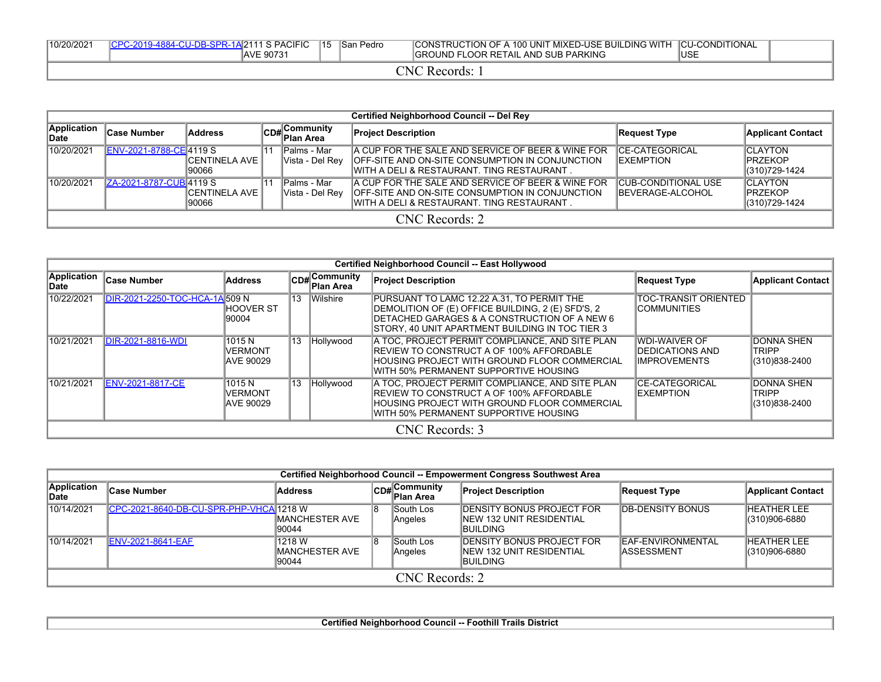| 10/20/2021      | CPC-2019-4884-CU-DB-SPR-1A 2111 S PACIFIC<br>AVE 90731 | $ 15\rangle$ | lSan Pedro | CONSTRUCTION OF A 100 UNIT MIXED-USE BUILDING WITH<br><b>IGROUND FLOOR RETAIL AND SUB PARKING</b> | I ICU-CONDITIONAL<br><b>IUSE</b> |  |  |  |  |  |  |
|-----------------|--------------------------------------------------------|--------------|------------|---------------------------------------------------------------------------------------------------|----------------------------------|--|--|--|--|--|--|
| `N(<br>Records: |                                                        |              |            |                                                                                                   |                                  |  |  |  |  |  |  |

|                            | <b>Certified Neighborhood Council -- Del Rey</b> |                         |  |                                                      |                                                                                                                                                               |                                                        |                                                     |  |  |  |  |  |  |
|----------------------------|--------------------------------------------------|-------------------------|--|------------------------------------------------------|---------------------------------------------------------------------------------------------------------------------------------------------------------------|--------------------------------------------------------|-----------------------------------------------------|--|--|--|--|--|--|
| Application<br><b>Date</b> | <b>Case Number</b>                               | <b>Address</b>          |  | $\mathbb{C}_{\mathsf{DBH}}$ Community<br>' Plan Area | <b>Project Description</b>                                                                                                                                    | Request Type                                           | <b>Applicant Contact</b>                            |  |  |  |  |  |  |
| 10/20/2021                 | ENV-2021-8788-CE 4119 S                          | ICENTINELA AVE<br>90066 |  | Palms - Mar<br>Vista - Del Rev                       | A CUP FOR THE SALE AND SERVICE OF BEER & WINE FOR<br>OFF-SITE AND ON-SITE CONSUMPTION IN CONJUNCTION<br>IWITH A DELI & RESTAURANT. TING RESTAURANT            | <b>ICE-CATEGORICAL</b><br><b>IEXEMPTION</b>            | <b>ICLAYTON</b><br><b>IPRZEKOP</b><br>(310)729-1424 |  |  |  |  |  |  |
| 10/20/2021                 | ZA-2021-8787-CUB 4119 S                          | ICENTINELA AVE<br>90066 |  | lPalms - Mar<br>Vista - Del Rev                      | <b>A CUP FOR THE SALE AND SERVICE OF BEER &amp; WINE FOR</b><br>OFF-SITE AND ON-SITE CONSUMPTION IN CONJUNCTION<br>IWITH A DELI & RESTAURANT. TING RESTAURANT | <b>CUB-CONDITIONAL USE</b><br><b>IBEVERAGE-ALCOHOL</b> | <b>CLAYTON</b><br><b>IPRZEKOP</b><br>(310)729-1424  |  |  |  |  |  |  |
|                            | CNC Records: 2                                   |                         |  |                                                      |                                                                                                                                                               |                                                        |                                                     |  |  |  |  |  |  |

|                             |                                |                                       |    |                                          | Certified Neighborhood Council -- East Hollywood                                                                                                                                                   |                                                                  |                                                    |
|-----------------------------|--------------------------------|---------------------------------------|----|------------------------------------------|----------------------------------------------------------------------------------------------------------------------------------------------------------------------------------------------------|------------------------------------------------------------------|----------------------------------------------------|
| <b>Application</b><br>lDate | <b>Case Number</b>             | <b>Address</b>                        |    | <b>CD#</b> Community<br><b>Plan Area</b> | <b>Project Description</b>                                                                                                                                                                         | Request Type                                                     | <b>Applicant Contact</b>                           |
| 10/22/2021                  | DIR-2021-2250-TOC-HCA-1A 509 N | <b>IHOOVER ST</b><br>190004           | 13 | Wilshire                                 | PURSUANT TO LAMC 12.22 A.31, TO PERMIT THE<br>DEMOLITION OF (E) OFFICE BUILDING, 2 (E) SFD'S, 2<br>DETACHED GARAGES & A CONSTRUCTION OF A NEW 6<br>STORY, 40 UNIT APARTMENT BUILDING IN TOC TIER 3 | <b>TOC-TRANSIT ORIENTED</b><br>ICOMMUNITIES                      |                                                    |
| 10/21/2021                  | <b>DIR-2021-8816-WDI</b>       | 1015 N<br><b>VERMONT</b><br>AVE 90029 | 13 | Hollywood                                | A TOC. PROJECT PERMIT COMPLIANCE. AND SITE PLAN<br><b>IREVIEW TO CONSTRUCT A OF 100% AFFORDABLE</b><br>IHOUSING PROJECT WITH GROUND FLOOR COMMERCIAL<br>IWITH 50% PERMANENT SUPPORTIVE HOUSING     | WDI-WAIVER OF<br><b>IDEDICATIONS AND</b><br><b>IIMPROVEMENTS</b> | <b>DONNA SHEN</b><br><b>TRIPP</b><br>(310)838-2400 |
| 10/21/2021                  | <b>ENV-2021-8817-CE</b>        | 1015 N<br><b>VERMONT</b><br>AVE 90029 | 13 | Hollywood                                | A TOC, PROJECT PERMIT COMPLIANCE, AND SITE PLAN<br><b>IREVIEW TO CONSTRUCT A OF 100% AFFORDABLE</b><br>HOUSING PROJECT WITH GROUND FLOOR COMMERCIAL<br>WITH 50% PERMANENT SUPPORTIVE HOUSING       | <b>CE-CATEGORICAL</b><br><b>EXEMPTION</b>                        | <b>DONNA SHEN</b><br><b>TRIPP</b><br>(310)838-2400 |
|                             |                                |                                       |    |                                          | CNC Records: 3                                                                                                                                                                                     |                                                                  |                                                    |

|                      | Certified Neighborhood Council -- Empowerment Congress Southwest Area |                                    |  |                           |                                                                                   |                                  |                                     |  |  |  |  |  |  |
|----------------------|-----------------------------------------------------------------------|------------------------------------|--|---------------------------|-----------------------------------------------------------------------------------|----------------------------------|-------------------------------------|--|--|--|--|--|--|
| Application<br>∣Date | <b>Case Number</b>                                                    | <b>Address</b>                     |  | CD#Community<br>Plan Area | <b>Project Description</b>                                                        | Request Type                     | Applicant Contact                   |  |  |  |  |  |  |
| 10/14/2021           | ICPC-2021-8640-DB-CU-SPR-PHP-VHCA 1218 W                              | IMANCHESTER AVE<br>90044           |  | South Los<br>Angeles      | <b>DENSITY BONUS PROJECT FOR</b><br>INEW 132 UNIT RESIDENTIAL<br><b>IBUILDING</b> | <b>DB-DENSITY BONUS</b>          | <b>HEATHER LEE</b><br>(310)906-6880 |  |  |  |  |  |  |
| 10/14/2021           | <b>ENV-2021-8641-EAF</b>                                              | 1218 W<br>IMANCHESTER AVE<br>90044 |  | South Los<br>Angeles      | <b>DENSITY BONUS PROJECT FOR</b><br>INEW 132 UNIT RESIDENTIAL<br>IBUILDING        | EAF-ENVIRONMENTAL<br>IASSESSMENT | <b>HEATHER LEE</b><br>(310)906-6880 |  |  |  |  |  |  |
|                      |                                                                       |                                    |  | CNC Records: 2            |                                                                                   |                                  |                                     |  |  |  |  |  |  |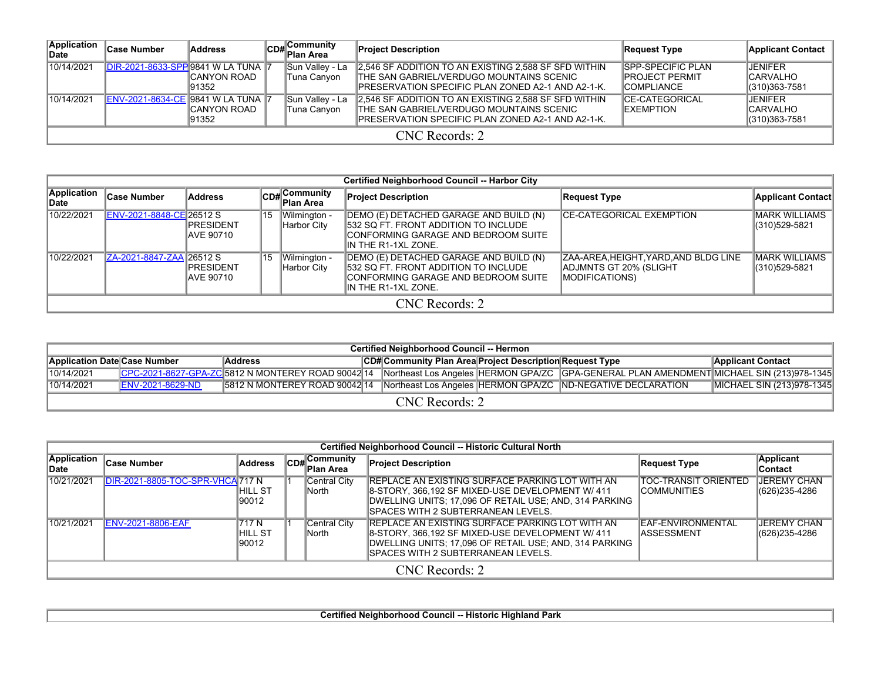| Application<br>∣Date | Case Number                               | Address                       |  | CD#Community<br>Plan Area      | <b>Project Description</b>                                                                                                                             | <b>Request Type</b>                                                      | Applicant Contact                                |  |  |  |  |  |
|----------------------|-------------------------------------------|-------------------------------|--|--------------------------------|--------------------------------------------------------------------------------------------------------------------------------------------------------|--------------------------------------------------------------------------|--------------------------------------------------|--|--|--|--|--|
| 10/14/2021           | <b>DIR-2021-8633-SPP 9841 W LA TUNA 7</b> | <b>ICANYON ROAD</b><br>191352 |  | Sun Valley - La<br>Tuna Canyon | 2.546 SF ADDITION TO AN EXISTING 2.588 SF SFD WITHIN<br>THE SAN GABRIEL/VERDUGO MOUNTAINS SCENIC<br>IPRESERVATION SPECIFIC PLAN ZONED A2-1 AND A2-1-K. | <b>SPP-SPECIFIC PLAN</b><br><b>IPROJECT PERMIT</b><br><b>ICOMPLIANCE</b> | JENIFER<br><b>ICARVALHO</b><br>$(310)363 - 7581$ |  |  |  |  |  |
| 10/14/2021           | <b>IENV-2021-8634-CE 9841 W LA TUNA 7</b> | <b>CANYON ROAD</b><br>191352  |  | Sun Valley - La<br>Tuna Canyon | 2,546 SF ADDITION TO AN EXISTING 2,588 SF SFD WITHIN<br>THE SAN GABRIEL/VERDUGO MOUNTAINS SCENIC<br>IPRESERVATION SPECIFIC PLAN ZONED A2-1 AND A2-1-K. | <b>ICE-CATEGORICAL</b><br><b>IEXEMPTION</b>                              | JENIFER<br><b>ICARVALHO</b><br>(310)363-7581     |  |  |  |  |  |
|                      | CNC Records: 2                            |                               |  |                                |                                                                                                                                                        |                                                                          |                                                  |  |  |  |  |  |

|                      |                          |                                       |    |                             | <b>Certified Neighborhood Council -- Harbor City</b>                                                                                          |                                                                                       |                                 |  |  |  |  |  |
|----------------------|--------------------------|---------------------------------------|----|-----------------------------|-----------------------------------------------------------------------------------------------------------------------------------------------|---------------------------------------------------------------------------------------|---------------------------------|--|--|--|--|--|
| Application<br>∣Date | <b>Case Number</b>       | <b>Address</b>                        |    | CD#Community<br>Plan Area   | <b>Project Description</b>                                                                                                                    | <b>Request Type</b>                                                                   | <b>Applicant Contact</b>        |  |  |  |  |  |
| 10/22/2021           | ENV-2021-8848-CE 26512 S | <b>PRESIDENT</b><br>IAVE 90710        | 15 | Wilmington -<br>Harbor City | DEMO (E) DETACHED GARAGE AND BUILD (N)<br>532 SQ FT. FRONT ADDITION TO INCLUDE<br>CONFORMING GARAGE AND BEDROOM SUITE<br>IIN THE R1-1XL ZONE. | <b>ICE-CATEGORICAL EXEMPTION</b>                                                      | MARK WILLIAMS<br>(310)529-5821  |  |  |  |  |  |
| 10/22/2021           | ZA-2021-8847-ZAA 26512 S | <b>IPRESIDENT</b><br><b>AVE 90710</b> | 15 | Wilmington -<br>Harbor City | (DEMO (E) DETACHED GARAGE AND BUILD (N<br>1532 SQ FT. FRONT ADDITION TO INCLUDE<br>CONFORMING GARAGE AND BEDROOM SUITE<br>IN THE R1-1XL ZONE. | ZAA-AREA,HEIGHT,YARD,AND BLDG LINE<br>ADJMNTS GT 20% (SLIGHT<br><b>MODIFICATIONS)</b> | IMARK WILLIAMS<br>(310)529-5821 |  |  |  |  |  |
|                      | CNC Records: 2           |                                       |    |                             |                                                                                                                                               |                                                                                       |                                 |  |  |  |  |  |

|                                     | <b>Certified Neighborhood Council -- Hermon</b> |                                                                                           |  |                                                          |  |                                                                                                                                             |                           |  |  |  |  |  |  |  |
|-------------------------------------|-------------------------------------------------|-------------------------------------------------------------------------------------------|--|----------------------------------------------------------|--|---------------------------------------------------------------------------------------------------------------------------------------------|---------------------------|--|--|--|--|--|--|--|
| <b>Application Date Case Number</b> |                                                 | <b>Address</b>                                                                            |  | CD# Community Plan Area Project Description Request Type |  |                                                                                                                                             | <b>Applicant Contact</b>  |  |  |  |  |  |  |  |
| 10/14/2021                          |                                                 |                                                                                           |  |                                                          |  | CPC-2021-8627-GPA-ZC 5812 N MONTEREY ROAD 90042 14 Northeast Los Angeles HERMON GPA/ZC GPA-GENERAL PLAN AMENDMENT MICHAEL SIN (213)978-1345 |                           |  |  |  |  |  |  |  |
| 10/14/2021                          | <b>IENV-2021-8629-ND</b>                        | 5812 N MONTEREY ROAD 90042 14 Northeast Los Angeles HERMON GPA/ZC ND-NEGATIVE DECLARATION |  |                                                          |  |                                                                                                                                             | MICHAEL SIN (213)978-1345 |  |  |  |  |  |  |  |
| CNC Records: 2                      |                                                 |                                                                                           |  |                                                          |  |                                                                                                                                             |                           |  |  |  |  |  |  |  |

|                             | Certified Neighborhood Council -- Historic Cultural North |                                   |                   |                         |                                                                                                                                                                                                              |                                              |                                     |  |  |  |  |  |  |
|-----------------------------|-----------------------------------------------------------|-----------------------------------|-------------------|-------------------------|--------------------------------------------------------------------------------------------------------------------------------------------------------------------------------------------------------------|----------------------------------------------|-------------------------------------|--|--|--|--|--|--|
| <b>Application</b><br>∣Date | <b>Case Number</b>                                        | Address                           | <sup>¶</sup> CD#∐ | ∣Community<br>Plan Area | <b>Project Description</b>                                                                                                                                                                                   | Request Type                                 | Applicant<br>∣Contact               |  |  |  |  |  |  |
| 10/21/2021                  | DIR-2021-8805-TOC-SPR-VHCA 717 N                          | IHILL ST<br>190012                |                   | Central City<br>North   | IREPLACE AN EXISTING SURFACE PARKING LOT WITH AN<br>8-STORY, 366,192 SF MIXED-USE DEVELOPMENT W/ 411<br>DWELLING UNITS: 17,096 OF RETAIL USE: AND, 314 PARKING<br>ISPACES WITH 2 SUBTERRANEAN LEVELS.        | ITOC-TRANSIT ORIENTED<br><b>ICOMMUNITIES</b> | <b>JEREMY CHAN</b><br>(626)235-4286 |  |  |  |  |  |  |
| 10/21/2021                  | <b>ENV-2021-8806-EAF</b>                                  | <b>717 N</b><br>HILL ST<br>190012 |                   | Central City<br>lNorth  | <b>IREPLACE AN EXISTING SURFACE PARKING LOT WITH AN</b><br>8-STORY, 366,192 SF MIXED-USE DEVELOPMENT W/ 411<br>DWELLING UNITS: 17.096 OF RETAIL USE: AND. 314 PARKING<br>ISPACES WITH 2 SUBTERRANEAN LEVELS. | <b>IEAF-ENVIRONMENTAL</b><br>IASSESSMENT     | <b>JEREMY CHAN</b><br>(626)235-4286 |  |  |  |  |  |  |
|                             |                                                           |                                   |                   |                         | CNC Records: 2                                                                                                                                                                                               |                                              |                                     |  |  |  |  |  |  |

**Certified Neighborhood Council -- Historic Highland Park**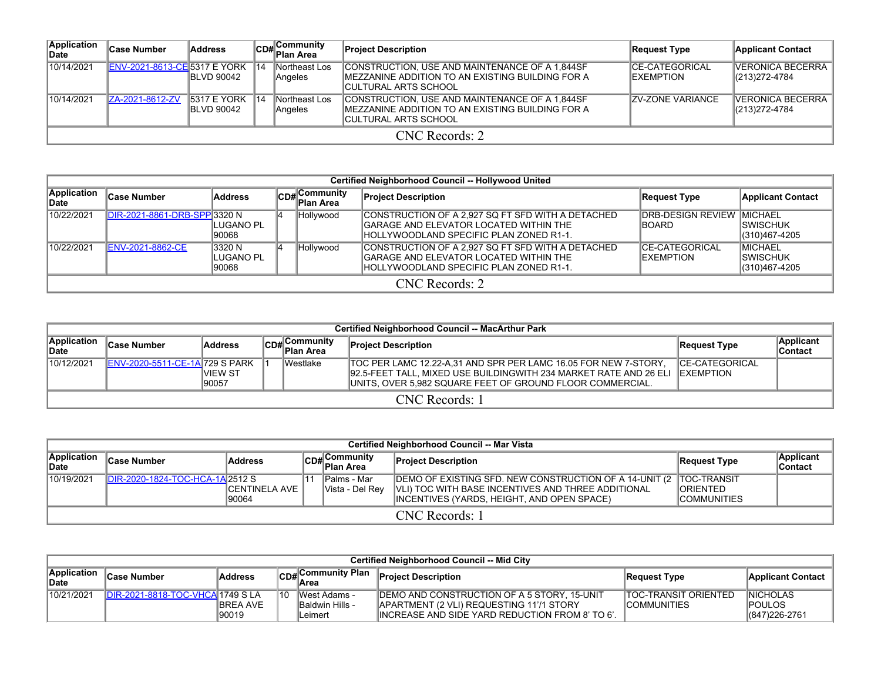| Application<br>lDate∶ | <b>Case Number</b>                  | Address                                  |            | CD# Community<br>Plan Area      | <b>Project Description</b>                                                                                                   | Request Type                                | <b>Applicant Contact</b>                      |  |  |  |  |  |
|-----------------------|-------------------------------------|------------------------------------------|------------|---------------------------------|------------------------------------------------------------------------------------------------------------------------------|---------------------------------------------|-----------------------------------------------|--|--|--|--|--|
| 10/14/2021            | <b>ENV-2021-8613-CE 5317 E YORK</b> | <b>IBLVD 90042</b>                       | $\vert$ 14 | Northeast Los<br><b>Angeles</b> | CONSTRUCTION. USE AND MAINTENANCE OF A 1.844SF<br>IMEZZANINE ADDITION TO AN EXISTING BUILDING FOR A<br>ICULTURAL ARTS SCHOOL | <b>ICE-CATEGORICAL</b><br><b>IEXEMPTION</b> | <b>VERONICA BECERRA</b><br>$ (213)272 - 4784$ |  |  |  |  |  |
| 10/14/2021            | ZA-2021-8612-ZV                     | <b>5317 E YORK</b><br><b>IBLVD 90042</b> | 14         | Northeast Los<br><b>Angeles</b> | CONSTRUCTION, USE AND MAINTENANCE OF A 1,844SF<br>IMEZZANINE ADDITION TO AN EXISTING BUILDING FOR A<br>ICULTURAL ARTS SCHOOL | <b>ZV-ZONE VARIANCE</b>                     | IVERONICA BECERRA<br>(213) 272-4784           |  |  |  |  |  |
|                       | CNC Records: 2                      |                                          |            |                                 |                                                                                                                              |                                             |                                               |  |  |  |  |  |

|                      | Certified Neighborhood Council -- Hollywood United |                              |  |                            |                                                                                                                                        |                                                     |                                              |  |  |  |  |  |
|----------------------|----------------------------------------------------|------------------------------|--|----------------------------|----------------------------------------------------------------------------------------------------------------------------------------|-----------------------------------------------------|----------------------------------------------|--|--|--|--|--|
| Application<br>∣Date | <b>Case Number</b>                                 | Address                      |  | CD# Community<br>Plan Area | <b>Project Description</b>                                                                                                             | <b>Request Type</b>                                 | <b>Applicant Contact</b>                     |  |  |  |  |  |
| 10/22/2021           | DIR-2021-8861-DRB-SPP 3320 N                       | LUGANO PL<br>90068           |  | Hollywood                  | CONSTRUCTION OF A 2,927 SQ FT SFD WITH A DETACHED<br>GARAGE AND ELEVATOR LOCATED WITHIN THE<br>HOLLYWOODLAND SPECIFIC PLAN ZONED R1-1. | <b>IDRB-DESIGN REVIEW IMICHAEL</b><br><b>IBOARD</b> | ISWISCHUK<br>(310)467-4205                   |  |  |  |  |  |
| 10/22/2021           | <b>ENV-2021-8862-CE</b>                            | 3320 N<br>LUGANO PL<br>90068 |  | Hollywood                  | CONSTRUCTION OF A 2,927 SQ FT SFD WITH A DETACHED<br>GARAGE AND ELEVATOR LOCATED WITHIN THE<br>HOLLYWOODLAND SPECIFIC PLAN ZONED R1-1. | <b>CE-CATEGORICAL</b><br><b>IEXEMPTION</b>          | <b>MICHAEL</b><br>ISWISCHUK<br>(310)467-4205 |  |  |  |  |  |
|                      | CNC Records: 2                                     |                              |  |                            |                                                                                                                                        |                                                     |                                              |  |  |  |  |  |

|                      | <b>Certified Neighborhood Council -- MacArthur Park</b> |                   |  |                             |                                                                                                                                                                                                   |                                             |                       |  |  |  |  |  |
|----------------------|---------------------------------------------------------|-------------------|--|-----------------------------|---------------------------------------------------------------------------------------------------------------------------------------------------------------------------------------------------|---------------------------------------------|-----------------------|--|--|--|--|--|
| Application<br>∥Date | <b>Case Number</b>                                      | <b>Address</b>    |  | Community<br>lCD# Plan Area | <b>Project Description</b>                                                                                                                                                                        | Request Type                                | Applicant<br>∣Contact |  |  |  |  |  |
| 10/12/2021           | <b>ENV-2020-5511-CE-1A 729 S PARK</b>                   | IVIEW ST<br>90057 |  | Westlake                    | TOC PER LAMC 12.22-A.31 AND SPR PER LAMC 16.05 FOR NEW 7-STORY.<br>92.5-FEET TALL, MIXED USE BUILDINGWITH 234 MARKET RATE AND 26 ELI<br>UNITS, OVER 5,982 SQUARE FEET OF GROUND FLOOR COMMERCIAL. | <b>ICE-CATEGORICAL</b><br><b>IEXEMPTION</b> |                       |  |  |  |  |  |
|                      | CNC Records: 1                                          |                   |  |                             |                                                                                                                                                                                                   |                                             |                       |  |  |  |  |  |

|                             | Certified Neighborhood Council -- Mar Vista |                       |  |                                 |                                                                                                                          |                     |                      |  |  |  |  |  |  |  |
|-----------------------------|---------------------------------------------|-----------------------|--|---------------------------------|--------------------------------------------------------------------------------------------------------------------------|---------------------|----------------------|--|--|--|--|--|--|--|
| <b>Application</b><br>∥Date | <b>Case Number</b>                          | Address               |  | $\boxed{\text{CD}\#}$ Community | <b>Project Description</b>                                                                                               | Request Type        | Applicant<br>Contact |  |  |  |  |  |  |  |
| 10/19/2021                  | DIR-2020-1824-TOC-HCA-1A 2512 S             | <b>ICENTINELA AVE</b> |  | lPalms - Mar<br>Vista - Del Rev | DEMO OF EXISTING SFD. NEW CONSTRUCTION OF A 14-UNIT (2 TOC-TRANSIT<br>VLI) TOC WITH BASE INCENTIVES AND THREE ADDITIONAL | <b>IORIENTED</b>    |                      |  |  |  |  |  |  |  |
|                             |                                             | 90064                 |  |                                 | INCENTIVES (YARDS, HEIGHT, AND OPEN SPACE)                                                                               | <b>ICOMMUNITIES</b> |                      |  |  |  |  |  |  |  |
|                             | CNC Records: 1                              |                       |  |                                 |                                                                                                                          |                     |                      |  |  |  |  |  |  |  |

| <b>Certified Neighborhood Council -- Mid City</b> |                                |                                        |     |                                                           |                                                                                                                                                            |                                                    |                                                     |  |  |  |  |  |
|---------------------------------------------------|--------------------------------|----------------------------------------|-----|-----------------------------------------------------------|------------------------------------------------------------------------------------------------------------------------------------------------------------|----------------------------------------------------|-----------------------------------------------------|--|--|--|--|--|
| Application<br>∥Date                              | <b>Case Number</b>             | <b>Address</b>                         |     | CD#Community Plan                                         | <b>Project Description</b>                                                                                                                                 | Request Type                                       | <b>Applicant Contact</b>                            |  |  |  |  |  |
| 10/21/2021                                        | <b>IDIR-2021-8818-TOC-VHCA</b> | 1749 S LA<br><b>IBREA AVE</b><br>90019 | 110 | <b>IWest Adams -</b><br><b>Baldwin Hills -</b><br>Leimert | <b>IDEMO AND CONSTRUCTION OF A 5 STORY. 15-UNIT</b><br><b>JAPARTMENT (2 VLI) REQUESTING 1171 STORY</b><br>IINCREASE AND SIDE YARD REDUCTION FROM 8' TO 6'. | <b>ITOC-TRANSIT ORIENTED</b><br><b>COMMUNITIES</b> | <b>INICHOLAS</b><br><b>POULOS</b><br>(847) 226-2761 |  |  |  |  |  |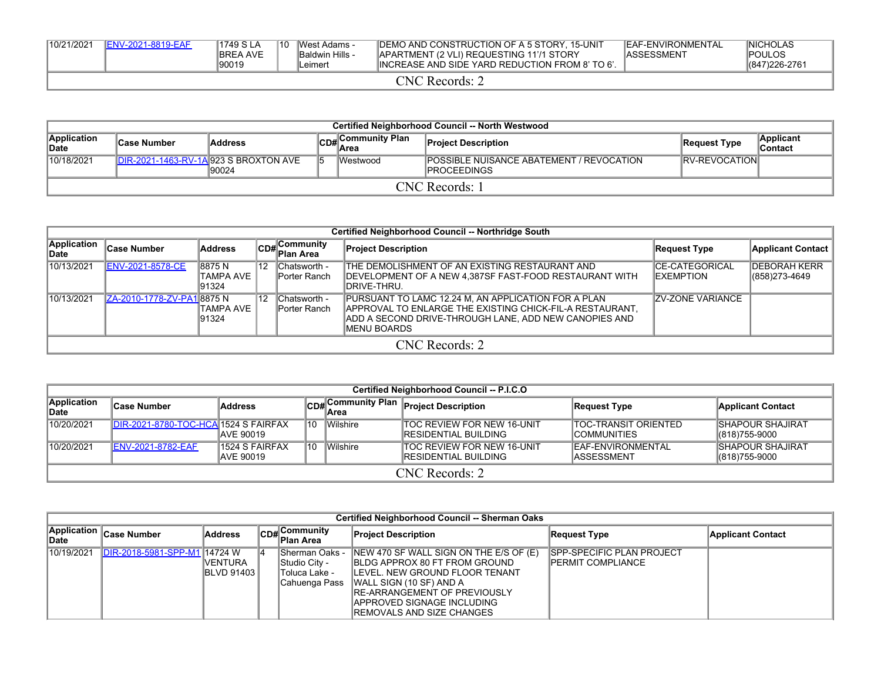| 10/21/2021 | <b>IENV-2021-8819-EAF</b> | 1749 S LA<br><b>IBREA AVE</b><br>90019 | 110 | IWest Adams -<br><b>Baldwin Hills -</b><br>-eimert | <b>IDEMO AND CONSTRUCTION OF A 5 STORY. 15-UNIT</b><br><b>JAPARTMENT (2 VLI) REQUESTING 1171 STORY</b><br>INCREASE AND SIDE YARD REDUCTION FROM 8' TO 6'. | <b>IEAF-ENVIRONMENTAL</b><br>IASSESSMENT | <b>INICHOLAS</b><br><b>IPOULOS</b><br>$ (847)226-2761$ |
|------------|---------------------------|----------------------------------------|-----|----------------------------------------------------|-----------------------------------------------------------------------------------------------------------------------------------------------------------|------------------------------------------|--------------------------------------------------------|
|            |                           |                                        |     |                                                    | <b>CNC Records:</b>                                                                                                                                       |                                          |                                                        |

|                            | Certified Neighborhood Council -- North Westwood |                                                    |    |                   |                                                                  |                      |                       |  |  |  |  |  |  |
|----------------------------|--------------------------------------------------|----------------------------------------------------|----|-------------------|------------------------------------------------------------------|----------------------|-----------------------|--|--|--|--|--|--|
| Application<br><b>Date</b> | <b>Case Number</b>                               | Address                                            |    | CD#Community Plan | <b>Project Description</b>                                       | Request Type         | Applicant<br>∣Contact |  |  |  |  |  |  |
| 10/18/2021                 |                                                  | $IDIR-2021-1463-RV-1Al923 S BROXTON AVE$<br>190024 | 15 | <b>IWestwood</b>  | <b>IPOSSIBLE NUISANCE ABATEMENT / REVOCATION</b><br>IPROCEEDINGS | <b>RV-REVOCATION</b> |                       |  |  |  |  |  |  |
| CNC Records:               |                                                  |                                                    |    |                   |                                                                  |                      |                       |  |  |  |  |  |  |

|                      | Certified Neighborhood Council -- Northridge South |                |                 |                           |                                                                |                          |                          |  |  |  |  |  |
|----------------------|----------------------------------------------------|----------------|-----------------|---------------------------|----------------------------------------------------------------|--------------------------|--------------------------|--|--|--|--|--|
| Application<br>∣Date | <b>Case Number</b>                                 | <b>Address</b> |                 | CD#Community<br>Plan Area | <b>Project Description</b>                                     | <b>Request Type</b>      | <b>Applicant Contact</b> |  |  |  |  |  |
| 10/13/2021           | <b>ENV-2021-8578-CE</b>                            | 8875N          | '12             | Chatsworth -              | THE DEMOLISHMENT OF AN EXISTING RESTAURANT AND                 | <b>ICE-CATEGORICAL</b>   | <b>IDEBORAH KERR</b>     |  |  |  |  |  |
|                      |                                                    | ITAMPA AVE     |                 | <b>Porter Ranch</b>       | <b>IDEVELOPMENT OF A NEW 4,387SF FAST-FOOD RESTAURANT WITH</b> | <b>IEXEMPTION</b>        | (858) 273-4649           |  |  |  |  |  |
|                      |                                                    | 91324          |                 |                           | IDRIVE-THRU.                                                   |                          |                          |  |  |  |  |  |
| 10/13/2021           | ZA-2010-1778-ZV-PA18875 N                          |                | <sup>1</sup> 12 | Chatsworth -              | PURSUANT TO LAMC 12.24 M, AN APPLICATION FOR A PLAN            | <b>IZV-ZONE VARIANCE</b> |                          |  |  |  |  |  |
|                      |                                                    | TAMPA AVE      |                 | Porter Ranch              | APPROVAL TO ENLARGE THE EXISTING CHICK-FIL-A RESTAURANT,       |                          |                          |  |  |  |  |  |
|                      |                                                    | 91324          |                 |                           | IADD A SECOND DRIVE-THROUGH LANE. ADD NEW CANOPIES AND         |                          |                          |  |  |  |  |  |
|                      | MENU BOARDS                                        |                |                 |                           |                                                                |                          |                          |  |  |  |  |  |
|                      |                                                    |                |                 |                           | CNC Records: 2                                                 |                          |                          |  |  |  |  |  |

|                      | Certified Neighborhood Council -- P.I.C.O |                               |      |          |                                                                    |                                                    |                                              |  |  |  |  |  |
|----------------------|-------------------------------------------|-------------------------------|------|----------|--------------------------------------------------------------------|----------------------------------------------------|----------------------------------------------|--|--|--|--|--|
| Application<br>∣Date | ∣Case Number                              | <b>Address</b>                | \CD# | lArea    | Community Plan Project Description                                 | Request Type                                       | <b>Applicant Contact</b>                     |  |  |  |  |  |
| 10/20/2021           | DIR-2021-8780-TOC-HCA 1524 S FAIRFAX      | <b>JAVE 90019</b>             | 10   | Wilshire | <b>TOC REVIEW FOR NEW 16-UNIT</b><br><b>IRESIDENTIAL BUILDING</b>  | <b>TOC-TRANSIT ORIENTED</b><br><b>ICOMMUNITIES</b> | <b>ISHAPOUR SHAJIRAT</b><br>$ (818)755-9000$ |  |  |  |  |  |
| 10/20/2021           | <b>IENV-2021-8782-EAF</b>                 | l1524 S FAIRFAX<br>IAVE 90019 | 10   | Wilshire | <b>ITOC REVIEW FOR NEW 16-UNIT</b><br><b>IRESIDENTIAL BUILDING</b> | <b>IEAF-ENVIRONMENTAL</b><br><b>IASSESSMENT</b>    | ISHAPOUR SHAJIRAT<br>(818) 755-9000          |  |  |  |  |  |
| CNC Records: 2       |                                           |                               |      |          |                                                                    |                                                    |                                              |  |  |  |  |  |

|            | Certified Neighborhood Council -- Sherman Oaks |                                       |  |                                                                    |                                                                                                                                                                                                                                                   |                                                                |                          |  |  |  |  |  |  |  |
|------------|------------------------------------------------|---------------------------------------|--|--------------------------------------------------------------------|---------------------------------------------------------------------------------------------------------------------------------------------------------------------------------------------------------------------------------------------------|----------------------------------------------------------------|--------------------------|--|--|--|--|--|--|--|
| ∥Date      | Application Case Number                        | Address                               |  | CD#Community<br>Plan Area                                          | <b>Project Description</b>                                                                                                                                                                                                                        | <b>Request Type</b>                                            | <b>Applicant Contact</b> |  |  |  |  |  |  |  |
| 10/19/2021 | DIR-2018-5981-SPP-M1 14724 W                   | <b>IVENTURA</b><br><b>IBLVD 91403</b> |  | Sherman Oaks -<br>lStudio Citv -<br>Toluca Lake -<br>Cahuenga Pass | NEW 470 SF WALL SIGN ON THE E/S OF (E)<br><b>IBLDG APPROX 80 FT FROM GROUND</b><br>ILEVEL. NEW GROUND FLOOR TENANT<br>WALL SIGN (10 SF) AND A<br><b>IRE-ARRANGEMENT OF PREVIOUSLY</b><br>IAPPROVED SIGNAGE INCLUDING<br>REMOVALS AND SIZE CHANGES | <b>ISPP-SPECIFIC PLAN PROJECT</b><br><b>IPERMIT COMPLIANCE</b> |                          |  |  |  |  |  |  |  |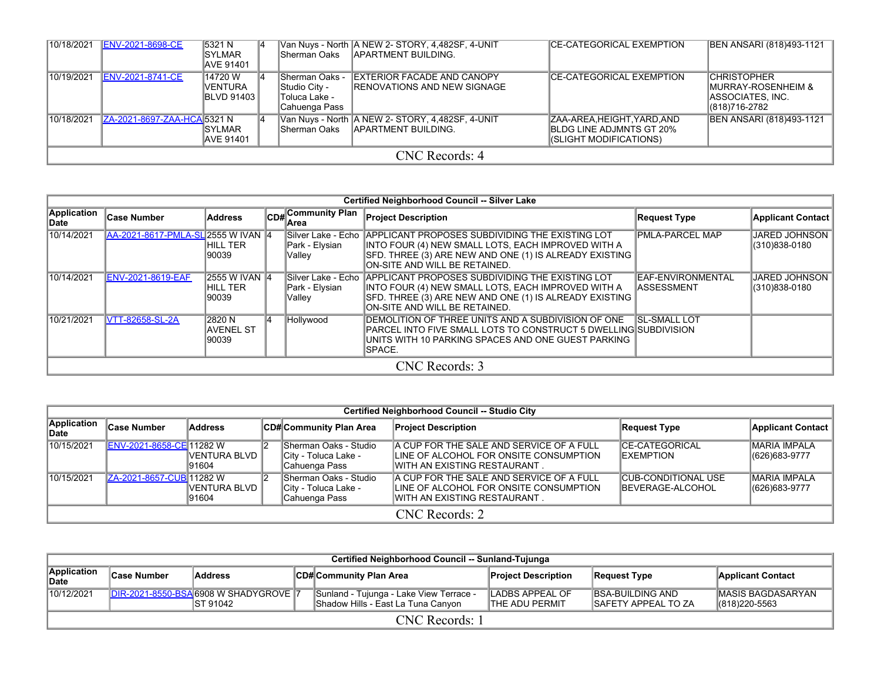| 10/18/2021 | <b>ENV-2021-8698-CE</b>     | <b>5321 N</b><br><b>ISYLMAR</b><br><b>AVE 91401</b> |                                                                          | Van Nuys - North A NEW 2- STORY, 4,482SF, 4-UNIT<br>Sherman Oaks APARTMENT BUILDING. | <b>ICE-CATEGORICAL EXEMPTION</b>                                                       | BEN ANSARI (818)493-1121                                                                    |
|------------|-----------------------------|-----------------------------------------------------|--------------------------------------------------------------------------|--------------------------------------------------------------------------------------|----------------------------------------------------------------------------------------|---------------------------------------------------------------------------------------------|
| 10/19/2021 | <b>ENV-2021-8741-CE</b>     | 14720 W<br><b>VENTURA</b><br><b>IBLVD 91403 I</b>   | <b>Sherman Oaks -</b><br>Studio City -<br>Toluca Lake -<br>Cahuenga Pass | <b>IEXTERIOR FACADE AND CANOPY</b><br><b>IRENOVATIONS AND NEW SIGNAGE</b>            | <b>ICE-CATEGORICAL EXEMPTION</b>                                                       | <b>CHRISTOPHER</b><br><b>IMURRAY-ROSENHEIM &amp;</b><br>IASSOCIATES. INC.<br>(818) 716-2782 |
| 10/18/2021 | ZA-2021-8697-ZAA-HCA 5321 N | <b>ISYLMAR</b><br><b>JAVE 91401</b>                 |                                                                          | Van Nuys - North A NEW 2- STORY, 4,482SF, 4-UNIT<br>Sherman Oaks APARTMENT BUILDING. | ZAA-AREA,HEIGHT,YARD,AND<br><b>IBLDG LINE ADJMNTS GT 20%</b><br>(SLIGHT MODIFICATIONS) | BEN ANSARI (818)493-1121                                                                    |
|            |                             |                                                     |                                                                          | CNC Records: 4                                                                       |                                                                                        |                                                                                             |

|                       | <b>Certified Neighborhood Council -- Silver Lake</b> |                                           |  |                           |                                                                                                                                                                                                                            |                                          |                                       |  |  |  |  |  |  |
|-----------------------|------------------------------------------------------|-------------------------------------------|--|---------------------------|----------------------------------------------------------------------------------------------------------------------------------------------------------------------------------------------------------------------------|------------------------------------------|---------------------------------------|--|--|--|--|--|--|
| Application<br>lDate∶ | <b>Case Number</b>                                   | <b>Address</b>                            |  | CD# Community Plan        | <b>Project Description</b>                                                                                                                                                                                                 | Request Type                             | Applicant Contact                     |  |  |  |  |  |  |
| 10/14/2021            | AA-2021-8617-PMLA-SL 2555 W IVAN 4                   | HILL TER<br>90039                         |  | Park - Elysian<br> Valley | Silver Lake - Echo APPLICANT PROPOSES SUBDIVIDING THE EXISTING LOT<br>INTO FOUR (4) NEW SMALL LOTS, EACH IMPROVED WITH A<br>SFD. THREE (3) ARE NEW AND ONE (1) IS ALREADY EXISTING<br><b>ON-SITE AND WILL BE RETAINED.</b> | <b>PMLA-PARCEL MAP</b>                   | JARED JOHNSON  <br>(310)838-0180      |  |  |  |  |  |  |
| 10/14/2021            | <b>ENV-2021-8619-EAF</b>                             | <b>2555 W IVAN 4</b><br>HILL TER<br>90039 |  | Park - Elysian<br> Valley | Silver Lake - Echo APPLICANT PROPOSES SUBDIVIDING THE EXISTING LOT<br>INTO FOUR (4) NEW SMALL LOTS, EACH IMPROVED WITH A<br>SFD. THREE (3) ARE NEW AND ONE (1) IS ALREADY EXISTING<br>ON-SITE AND WILL BE RETAINED.        | IEAF-ENVIRONMENTAL<br><b>IASSESSMENT</b> | <b>JARED JOHNSON</b><br>(310)838-0180 |  |  |  |  |  |  |
| 10/21/2021            | VTT-82658-SL-2A                                      | 12820 N<br><b>IAVENEL ST</b><br>90039     |  | Hollywood                 | <b>IDEMOLITION OF THREE UNITS AND A SUBDIVISION OF ONE</b><br>IPARCEL INTO FIVE SMALL LOTS TO CONSTRUCT 5 DWELLING SUBDIVISION<br>UNITS WITH 10 PARKING SPACES AND ONE GUEST PARKING<br>ISPACE.                            | <b>ISL-SMALL LOT</b>                     |                                       |  |  |  |  |  |  |
|                       |                                                      |                                           |  |                           | CNC Records: 3                                                                                                                                                                                                             |                                          |                                       |  |  |  |  |  |  |

|                      | Certified Neighborhood Council -- Studio City |                         |  |                                                                 |                                                                                                                       |                                                        |                                       |  |  |  |  |  |  |
|----------------------|-----------------------------------------------|-------------------------|--|-----------------------------------------------------------------|-----------------------------------------------------------------------------------------------------------------------|--------------------------------------------------------|---------------------------------------|--|--|--|--|--|--|
| Application<br>∣Date | <b>Case Number</b>                            | <b>Address</b>          |  | CD# Community Plan Area                                         | <b>Project Description</b>                                                                                            | <b>Request Type</b>                                    | Applicant Contact                     |  |  |  |  |  |  |
| 10/15/2021           | ENV-2021-8658-CE 11282 W                      | VENTURA BLVD<br>191604  |  | lSherman Oaks - Studio<br>City - Toluca Lake -<br>Cahuenga Pass | A CUP FOR THE SALE AND SERVICE OF A FULL<br>ILINE OF ALCOHOL FOR ONSITE CONSUMPTION<br>IWITH AN EXISTING RESTAURANT . | <b>CE-CATEGORICAL</b><br><b>IEXEMPTION</b>             | <b>MARIA IMPALA</b><br>(626) 683-9777 |  |  |  |  |  |  |
| 10/15/2021           | ZA-2021-8657-CUB 11282 W                      | IVENTURA BLVD<br>191604 |  | Sherman Oaks - Studio<br>City - Toluca Lake -<br>Cahuenga Pass  | A CUP FOR THE SALE AND SERVICE OF A FULL<br>ILINE OF ALCOHOL FOR ONSITE CONSUMPTION<br>IWITH AN EXISTING RESTAURANT.  | <b>CUB-CONDITIONAL USE</b><br><b>IBEVERAGE-ALCOHOL</b> | <b>MARIA IMPALA</b><br>(626) 683-9777 |  |  |  |  |  |  |
|                      | CNC Records: 2                                |                         |  |                                                                 |                                                                                                                       |                                                        |                                       |  |  |  |  |  |  |

|                      | Certified Neighborhood Council -- Sunland-Tujunga                                                                                          |                                                            |  |                                                                               |                                           |                                                         |                                                |  |  |  |  |  |
|----------------------|--------------------------------------------------------------------------------------------------------------------------------------------|------------------------------------------------------------|--|-------------------------------------------------------------------------------|-------------------------------------------|---------------------------------------------------------|------------------------------------------------|--|--|--|--|--|
| Application<br>∣Date | <b>Case Number</b><br>∥CD# Community Plan Area<br><b>Address</b><br><b>Project Description</b><br><b>Applicant Contact</b><br>Request Type |                                                            |  |                                                                               |                                           |                                                         |                                                |  |  |  |  |  |
| 10/12/2021           |                                                                                                                                            | <b>IDIR-2021-8550-BSA6908 W SHADYGROVE 17</b><br>IST 91042 |  | Sunland - Tujunga - Lake View Terrace -<br>Shadow Hills - East La Tuna Canyon | LADBS APPEAL OF<br><b>ITHE ADU PERMIT</b> | <b>IBSA-BUILDING AND</b><br><b>ISAFETY APPEAL TO ZA</b> | <b>MASIS BAGDASARYAN</b><br>$ (818)220 - 5563$ |  |  |  |  |  |
|                      | <b>CNC</b> Records: 1                                                                                                                      |                                                            |  |                                                                               |                                           |                                                         |                                                |  |  |  |  |  |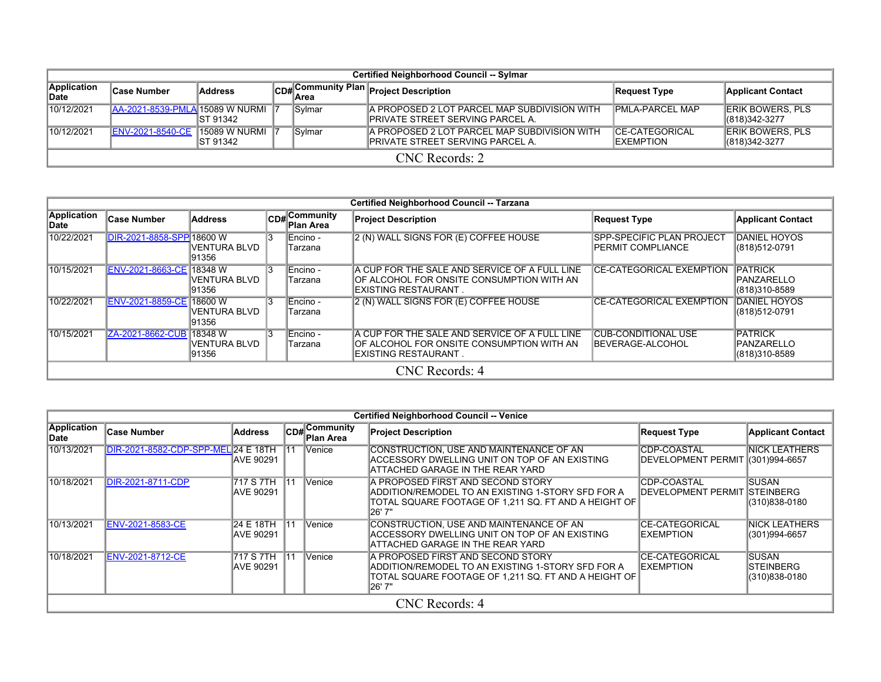|                      | Certified Neighborhood Council -- Sylmar |                                   |  |        |                                                                                   |                                             |                                             |  |  |  |  |  |
|----------------------|------------------------------------------|-----------------------------------|--|--------|-----------------------------------------------------------------------------------|---------------------------------------------|---------------------------------------------|--|--|--|--|--|
| Application<br>∣Date | ∣Case Number                             | Address                           |  |        | CD# Community Plan Project Description                                            | Request Type                                | <b>Applicant Contact</b>                    |  |  |  |  |  |
| 10/12/2021           | <b>AA-2021-8539-PMLA 15089 W NURMI</b>   | IST 91342                         |  | Sylmar | A PROPOSED 2 LOT PARCEL MAP SUBDIVISION WITH<br>IPRIVATE STREET SERVING PARCEL A. | <b>PMLA-PARCEL MAP</b>                      | <b>ERIK BOWERS, PLS</b><br>$ (818)342-3277$ |  |  |  |  |  |
| 10/12/2021           | <b>ENV-2021-8540-CE</b>                  | <b>15089 W NURMI</b><br>IST 91342 |  | Sylmar | A PROPOSED 2 LOT PARCEL MAP SUBDIVISION WITH<br>IPRIVATE STREET SERVING PARCEL A. | <b>ICE-CATEGORICAL</b><br><b>IEXEMPTION</b> | <b>ERIK BOWERS, PLS</b><br>$ (818)342-3277$ |  |  |  |  |  |
|                      | $CNC$ Records: 2                         |                                   |  |        |                                                                                   |                                             |                                             |  |  |  |  |  |

|                      | Certified Neighborhood Council -- Tarzana |                                          |  |                               |                                                                                                                            |                                                              |                                                       |  |  |  |  |  |
|----------------------|-------------------------------------------|------------------------------------------|--|-------------------------------|----------------------------------------------------------------------------------------------------------------------------|--------------------------------------------------------------|-------------------------------------------------------|--|--|--|--|--|
| Application<br>∣Date | Case Number                               | <b>Address</b>                           |  | $CD#$ Community<br>∣Plan Area | <b>Project Description</b>                                                                                                 | <b>Request Type</b>                                          | <b>Applicant Contact</b>                              |  |  |  |  |  |
| 10/22/2021           | DIR-2021-8858-SPP 18600 W                 | IVENTURA BLVD<br>91356                   |  | Encino -<br>Tarzana           | 2 (N) WALL SIGNS FOR (E) COFFEE HOUSE                                                                                      | <b>SPP-SPECIFIC PLAN PROJECT</b><br><b>PERMIT COMPLIANCE</b> | <b>DANIEL HOYOS</b><br>(818)512-0791                  |  |  |  |  |  |
| 10/15/2021           | ENV-2021-8663-CE 18348 W                  | IVENTURA BLVD<br>91356                   |  | Encino -<br>Tarzana           | A CUP FOR THE SALE AND SERVICE OF A FULL LINE<br>OF ALCOHOL FOR ONSITE CONSUMPTION WITH AN<br>IEXISTING RESTAURANT         | <b>CE-CATEGORICAL EXEMPTION</b>                              | <b>PATRICK</b><br><b>IPANZARELLO</b><br>(818)310-8589 |  |  |  |  |  |
| 10/22/2021           | ENV-2021-8859-CE 18600 W                  | IVENTURA BLVD<br>91356                   |  | Encino -<br>Tarzana           | 2 (N) WALL SIGNS FOR (E) COFFEE HOUSE                                                                                      | <b>ICE-CATEGORICAL EXEMPTION</b>                             | <b>DANIEL HOYOS</b><br>(818)512-0791                  |  |  |  |  |  |
| 10/15/2021           | <b>ZA-2021-8662-CUB</b>                   | <b>18348 W</b><br>IVENTURA BLVD<br>91356 |  | Encino -<br>Tarzana           | A CUP FOR THE SALE AND SERVICE OF A FULL LINE<br>OF ALCOHOL FOR ONSITE CONSUMPTION WITH AN<br><b>IEXISTING RESTAURANT.</b> | <b>CUB-CONDITIONAL USE</b><br>BEVERAGE-ALCOHOL               | <b>PATRICK</b><br><b>IPANZARELLO</b><br>(818)310-8589 |  |  |  |  |  |
|                      | CNC Records: 4                            |                                          |  |                               |                                                                                                                            |                                                              |                                                       |  |  |  |  |  |

|                     | <b>Certified Neighborhood Council -- Venice</b> |                                 |     |                          |                                                                                                                                                             |                                                      |                                              |  |  |  |  |  |  |
|---------------------|-------------------------------------------------|---------------------------------|-----|--------------------------|-------------------------------------------------------------------------------------------------------------------------------------------------------------|------------------------------------------------------|----------------------------------------------|--|--|--|--|--|--|
| Application<br>Date | <b>Case Number</b>                              | Address                         | CDH | , Community<br>Plan Area | <b>Project Description</b>                                                                                                                                  | <b>Request Type</b>                                  | <b>Applicant Contact</b>                     |  |  |  |  |  |  |
| 10/13/2021          | DIR-2021-8582-CDP-SPP-MEL 24 E 18TH             | <b>JAVE 90291</b>               | 11  | Venice                   | CONSTRUCTION, USE AND MAINTENANCE OF AN<br>ACCESSORY DWELLING UNIT ON TOP OF AN EXISTING<br>IATTACHED GARAGE IN THE REAR YARD                               | <b>ICDP-COASTAL</b><br><b>IDEVELOPMENT PERMIT</b>    | <b>INICK LEATHERS</b><br>(301) 994-6657      |  |  |  |  |  |  |
| 10/18/2021          | <b>IDIR-2021-8711-CDP</b>                       | 1717 S 7TH<br>IAVE 90291        | 11  | Venice                   | IA PROPOSED FIRST AND SECOND STORY<br>ADDITION/REMODEL TO AN EXISTING 1-STORY SFD FOR A<br>TOTAL SQUARE FOOTAGE OF 1,211 SQ. FT AND A HEIGHT OF<br> 26' 7"  | <b>CDP-COASTAL</b><br>IDEVELOPMENT PERMIT ISTEINBERG | <b>ISUSAN</b><br>(310)838-0180               |  |  |  |  |  |  |
| 10/13/2021          | <b>ENV-2021-8583-CE</b>                         | 124 E 18TH<br><b>JAVE 90291</b> | 11  | Venice                   | CONSTRUCTION, USE AND MAINTENANCE OF AN<br>ACCESSORY DWELLING UNIT ON TOP OF AN EXISTING<br>ATTACHED GARAGE IN THE REAR YARD                                | ICE-CATEGORICAL<br><b>IEXEMPTION</b>                 | <b>INICK LEATHERS</b><br>(301)994-6657       |  |  |  |  |  |  |
| 10/18/2021          | <b>ENV-2021-8712-CE</b>                         | 1717 S 7TH<br>IAVE 90291        | 11  | Venice                   | IA PROPOSED FIRST AND SECOND STORY<br>ADDITION/REMODEL TO AN EXISTING 1-STORY SFD FOR A<br>ITOTAL SQUARE FOOTAGE OF 1.211 SQ. FT AND A HEIGHT OF<br> 26' 7" | <b>ICE-CATEGORICAL</b><br><b>IEXEMPTION</b>          | ISUSAN<br><b>ISTEINBERG</b><br>(310)838-0180 |  |  |  |  |  |  |
|                     |                                                 |                                 |     |                          | CNC Records: 4                                                                                                                                              |                                                      |                                              |  |  |  |  |  |  |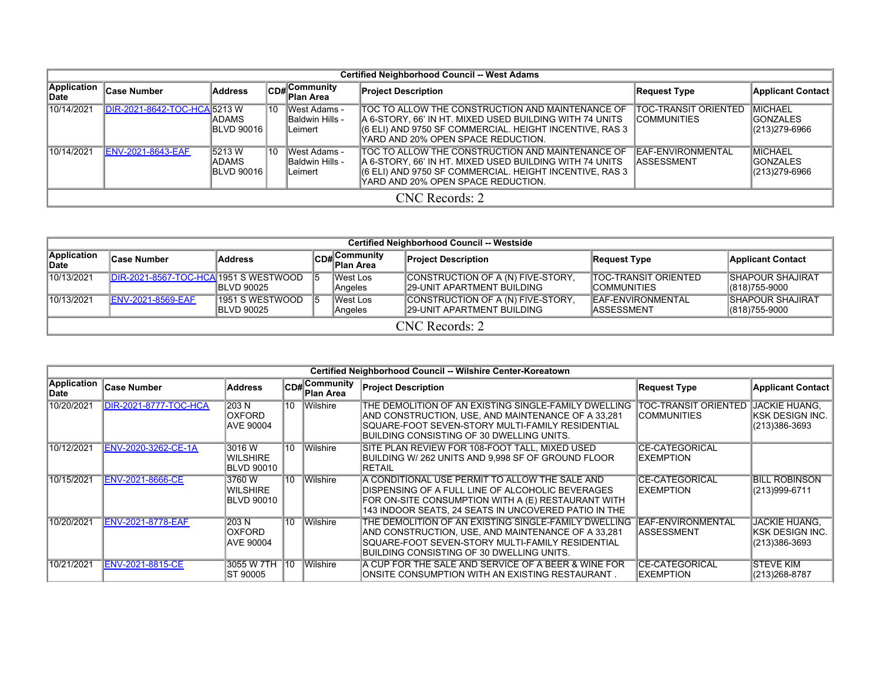|                             | <b>Certified Neighborhood Council -- West Adams</b> |                                         |    |                                                   |                                                                                                                                                                                                               |                                             |                                                       |  |  |  |  |  |  |
|-----------------------------|-----------------------------------------------------|-----------------------------------------|----|---------------------------------------------------|---------------------------------------------------------------------------------------------------------------------------------------------------------------------------------------------------------------|---------------------------------------------|-------------------------------------------------------|--|--|--|--|--|--|
| <b>Application</b><br>∥Date | <b>Case Number</b>                                  | Address                                 |    | CD# Community<br>Plan Area                        | <b>Project Description</b>                                                                                                                                                                                    | <b>Request Type</b>                         | <b>Applicant Contact</b>                              |  |  |  |  |  |  |
| 10/14/2021                  | DIR-2021-8642-TOC-HCA 5213 W                        | IADAMS.<br><b>BLVD 90016</b>            | 10 | West Adams -<br><b>Baldwin Hills -</b><br>Leimert | TOC TO ALLOW THE CONSTRUCTION AND MAINTENANCE OF<br>A 6-STORY, 66' IN HT. MIXED USED BUILDING WITH 74 UNITS<br>(6 ELI) AND 9750 SF COMMERCIAL. HEIGHT INCENTIVE, RAS 3<br>YARD AND 20% OPEN SPACE REDUCTION.  | TOC-TRANSIT ORIENTED<br><b>ICOMMUNITIES</b> | <b>IMICHAEL</b><br><b>IGONZALES</b><br>(213) 279-6966 |  |  |  |  |  |  |
| 10/14/2021                  | <b>ENV-2021-8643-EAF</b>                            | 5213 W<br> ADAMS <br><b>IBLVD 90016</b> | 10 | West Adams -<br>Baldwin Hills -<br>lLeimert       | ITOC TO ALLOW THE CONSTRUCTION AND MAINTENANCE OF<br>A 6-STORY, 66' IN HT. MIXED USED BUILDING WITH 74 UNITS<br>(6 ELI) AND 9750 SF COMMERCIAL. HEIGHT INCENTIVE, RAS 3<br>YARD AND 20% OPEN SPACE REDUCTION. | EAF-ENVIRONMENTAL<br>ASSESSMENT             | <b>IMICHAEL</b><br><b>IGONZALES</b><br>(213) 279-6966 |  |  |  |  |  |  |
|                             |                                                     |                                         |    |                                                   | CNC Records: 2                                                                                                                                                                                                |                                             |                                                       |  |  |  |  |  |  |

|                      | Certified Neighborhood Council -- Westside      |                                         |  |                                |                                                                        |                                                     |                                              |  |  |  |  |  |  |
|----------------------|-------------------------------------------------|-----------------------------------------|--|--------------------------------|------------------------------------------------------------------------|-----------------------------------------------------|----------------------------------------------|--|--|--|--|--|--|
| Application<br>∣Date | <b>Case Number</b>                              | <b>Address</b>                          |  | $ CD  $ Community<br>Plan Area | <b>Project Description</b>                                             | Request Type                                        | <b>Applicant Contact</b>                     |  |  |  |  |  |  |
| 10/13/2021           | <b>IDIR-2021-8567-TOC-HCA 1951 S WESTWOOD 5</b> | <b>IBLVD 90025</b>                      |  | West Los<br>Angeles            | CONSTRUCTION OF A (N) FIVE-STORY,<br><b>29-UNIT APARTMENT BUILDING</b> | <b>ITOC-TRANSIT ORIENTED</b><br><b>ICOMMUNITIES</b> | <b>ISHAPOUR SHAJIRAT</b><br>$ (818)755-9000$ |  |  |  |  |  |  |
| 10/13/2021           | <b>ENV-2021-8569-EAF</b>                        | 1951 S WESTWOOD 5<br><b>IBLVD 90025</b> |  | West Los<br>Angeles            | CONSTRUCTION OF A (N) FIVE-STORY,<br><b>29-UNIT APARTMENT BUILDING</b> | <b>EAF-ENVIRONMENTAL</b><br><b>IASSESSMENT</b>      | <b>ISHAPOUR SHAJIRAT</b><br>$ (818)755-9000$ |  |  |  |  |  |  |
|                      | $CNC$ Records: 2                                |                                         |  |                                |                                                                        |                                                     |                                              |  |  |  |  |  |  |

|                     | Certified Neighborhood Council -- Wilshire Center-Koreatown |                                         |     |                          |                                                                                                                                                                                                                    |                                            |                                                      |  |  |  |  |  |  |
|---------------------|-------------------------------------------------------------|-----------------------------------------|-----|--------------------------|--------------------------------------------------------------------------------------------------------------------------------------------------------------------------------------------------------------------|--------------------------------------------|------------------------------------------------------|--|--|--|--|--|--|
| Application<br>Date | Case Number                                                 | <b>Address</b>                          | CD# | ∣Community<br>∣Plan Area | <b>Project Description</b>                                                                                                                                                                                         | <b>Request Type</b>                        | <b>Applicant Contact</b>                             |  |  |  |  |  |  |
| 10/20/2021          | DIR-2021-8777-TOC-HCA                                       | 203 N<br><b>OXFORD</b><br>AVE 90004     | 10  | Wilshire                 | THE DEMOLITION OF AN EXISTING SINGLE-FAMILY DWELLING<br>IAND CONSTRUCTION. USE. AND MAINTENANCE OF A 33.281<br>SQUARE-FOOT SEVEN-STORY MULTI-FAMILY RESIDENTIAL<br>IBUILDING CONSISTING OF 30 DWELLING UNITS.      | TOC-TRANSIT ORIENTED<br><b>COMMUNITIES</b> | JACKIE HUANG.<br> KSK DESIGN INC.  <br>(213)386-3693 |  |  |  |  |  |  |
| 10/12/2021          | ENV-2020-3262-CE-1A                                         | 3016 W<br>WILSHIRE<br><b>BLVD 90010</b> | 10  | Wilshire                 | ISITE PLAN REVIEW FOR 108-FOOT TALL. MIXED USED<br>IBUILDING W/ 262 UNITS AND 9.998 SF OF GROUND FLOOR<br>IRETAIL                                                                                                  | <b>CE-CATEGORICAL</b><br><b>EXEMPTION</b>  |                                                      |  |  |  |  |  |  |
| 10/15/2021          | <b>ENV-2021-8666-CE</b>                                     | 3760 W<br>WILSHIRE<br><b>BLVD 90010</b> | 10  | Wilshire                 | IA CONDITIONAL USE PERMIT TO ALLOW THE SALE AND<br>IDISPENSING OF A FULL LINE OF ALCOHOLIC BEVERAGES<br>FOR ON-SITE CONSUMPTION WITH A (E) RESTAURANT WITH<br>143 INDOOR SEATS, 24 SEATS IN UNCOVERED PATIO IN THE | <b>CE-CATEGORICAL</b><br>EXEMPTION         | BILL ROBINSON<br>(213)999-6711                       |  |  |  |  |  |  |
| 10/20/2021          | <b>ENV-2021-8778-EAF</b>                                    | 203 N<br>OXFORD<br>AVE 90004            | 10  | Wilshire                 | THE DEMOLITION OF AN EXISTING SINGLE-FAMILY DWELLING<br>AND CONSTRUCTION, USE, AND MAINTENANCE OF A 33,281<br>SQUARE-FOOT SEVEN-STORY MULTI-FAMILY RESIDENTIAL<br>BUILDING CONSISTING OF 30 DWELLING UNITS.        | EAF-ENVIRONMENTAL<br>IASSESSMENT           | IJACKIE HUANG.<br>IKSK DESIGN INC.<br>(213)386-3693  |  |  |  |  |  |  |
| 10/21/2021          | ENV-2021-8815-CE                                            | 3055 W 7TH<br>ST 90005                  | 10  | Wilshire                 | IA CUP FOR THE SALE AND SERVICE OF A BEER & WINE FOR<br>ONSITE CONSUMPTION WITH AN EXISTING RESTAURANT.                                                                                                            | <b>CE-CATEGORICAL</b><br>EXEMPTION         | <b>STEVE KIM</b><br>(213) 268-8787                   |  |  |  |  |  |  |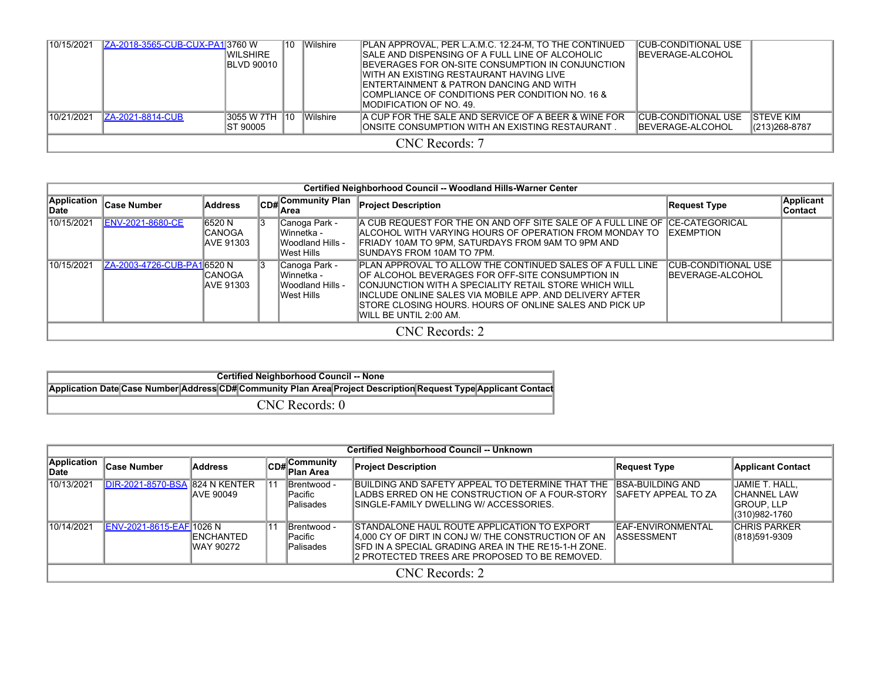| 10/15/2021 | ZA-2018-3565-CUB-CUX-PA13760 W | IWILSHIRE<br><b>IBLVD 90010</b> | 10               | Wilshire | PLAN APPROVAL, PER L.A.M.C. 12.24-M, TO THE CONTINUED<br>SALE AND DISPENSING OF A FULL LINE OF ALCOHOLIC<br>IBEVERAGES FOR ON-SITE CONSUMPTION IN CONJUNCTION.<br>IWITH AN EXISTING RESTAURANT HAVING LIVE<br>ENTERTAINMENT & PATRON DANCING AND WITH<br>COMPLIANCE OF CONDITIONS PER CONDITION NO. 16 &<br>IMODIFICATION OF NO. 49. | ICUB-CONDITIONAL USE<br><b>IBEVERAGE-ALCOHOL</b> |                                     |  |  |  |  |
|------------|--------------------------------|---------------------------------|------------------|----------|--------------------------------------------------------------------------------------------------------------------------------------------------------------------------------------------------------------------------------------------------------------------------------------------------------------------------------------|--------------------------------------------------|-------------------------------------|--|--|--|--|
| 10/21/2021 | <b>ZA-2021-8814-CUB</b>        | 13055 W 7TH<br>IST 90005        | $\overline{110}$ | Wilshire | A CUP FOR THE SALE AND SERVICE OF A BEER & WINE FOR<br>ONSITE CONSUMPTION WITH AN EXISTING RESTAURANT                                                                                                                                                                                                                                | ICUB-CONDITIONAL USE<br><b>IBEVERAGE-ALCOHOL</b> | <b>ISTEVE KIM</b><br>(213) 268-8787 |  |  |  |  |
|            | CNC Records: 7                 |                                 |                  |          |                                                                                                                                                                                                                                                                                                                                      |                                                  |                                     |  |  |  |  |

| Certified Neighborhood Council -- Woodland Hills-Warner Center |                            |                                        |    |                                                                  |                                                                                                                                                                                                                                                                                                                            |                                           |                             |  |
|----------------------------------------------------------------|----------------------------|----------------------------------------|----|------------------------------------------------------------------|----------------------------------------------------------------------------------------------------------------------------------------------------------------------------------------------------------------------------------------------------------------------------------------------------------------------------|-------------------------------------------|-----------------------------|--|
| <b>Application</b><br>∣Date                                    | <b>Case Number</b>         | Address                                |    | CD# <sup>Community Plan</sup><br>lArea                           | <b>Project Description</b>                                                                                                                                                                                                                                                                                                 | Request Type                              | Applicant<br><b>Contact</b> |  |
| 10/15/2021                                                     | <b>ENV-2021-8680-CE</b>    | 6520 N<br><b>ICANOGA</b><br>IAVE 91303 | 13 | Canoga Park -<br>lWinnetka -<br>IWoodland Hills -<br>lWest Hills | A CUB REQUEST FOR THE ON AND OFF SITE SALE OF A FULL LINE OF ICE-CATEGORICAL<br>IALCOHOL WITH VARYING HOURS OF OPERATION FROM MONDAY TO<br>IFRIADY 10AM TO 9PM. SATURDAYS FROM 9AM TO 9PM AND<br>ISUNDAYS FROM 10AM TO 7PM.                                                                                                | <b>IEXEMPTION</b>                         |                             |  |
| 10/15/2021                                                     | ZA-2003-4726-CUB-PA16520 N | ICANOGA<br><b>AVE 91303</b>            | 13 | Canoga Park -<br>lWinnetka -<br>IWoodland Hills -<br>lWest Hills | IPLAN APPROVAL TO ALLOW THE CONTINUED SALES OF A FULL LINE<br>OF ALCOHOL BEVERAGES FOR OFF-SITE CONSUMPTION IN<br>ICONJUNCTION WITH A SPECIALITY RETAIL STORE WHICH WILL<br>IINCLUDE ONLINE SALES VIA MOBILE APP. AND DELIVERY AFTER<br>ISTORE CLOSING HOURS. HOURS OF ONLINE SALES AND PICK UP<br>IWILL BE UNTIL 2:00 AM. | ICUB-CONDITIONAL USE<br>IBEVERAGE-ALCOHOL |                             |  |
| CNC Records: 2                                                 |                            |                                        |    |                                                                  |                                                                                                                                                                                                                                                                                                                            |                                           |                             |  |

| <b>Certified Neighborhood Council -- None</b>                                                                   |  |  |  |  |  |  |  |  |  |  |
|-----------------------------------------------------------------------------------------------------------------|--|--|--|--|--|--|--|--|--|--|
| Application Date Case Number Address CD# Community Plan Area Project Description Request Type Applicant Contact |  |  |  |  |  |  |  |  |  |  |
| CNC Records: 0                                                                                                  |  |  |  |  |  |  |  |  |  |  |

| <b>Certified Neighborhood Council -- Unknown</b> |                                       |                                        |    |                                                    |                                                                                                                                                                                                                          |                                         |                                                                |
|--------------------------------------------------|---------------------------------------|----------------------------------------|----|----------------------------------------------------|--------------------------------------------------------------------------------------------------------------------------------------------------------------------------------------------------------------------------|-----------------------------------------|----------------------------------------------------------------|
| <b>Application</b><br>∣Date                      | <b>Case Number</b>                    | <b>Address</b>                         |    | CD# Community<br>Plan Area                         | <b>Project Description</b>                                                                                                                                                                                               | Request Type                            | <b>Applicant Contact</b>                                       |
| 10/13/2021                                       | <b>DIR-2021-8570-BSA 824 N KENTER</b> | <b>JAVE 90049</b>                      | 11 | Brentwood -<br><b>IPacific</b><br><b>Palisades</b> | BUILDING AND SAFETY APPEAL TO DETERMINE THAT THE IBSA-BUILDING AND<br>LADBS ERRED ON HE CONSTRUCTION OF A FOUR-STORY<br>ISINGLE-FAMILY DWELLING W/ ACCESSORIES.                                                          | <b>ISAFETY APPEAL TO ZA</b>             | JAMIE T. HALL,<br>ICHANNEL LAW<br>IGROUP. LLP<br>(310)982-1760 |
| 10/14/2021                                       | ENV-2021-8615-EAF 1026 N              | <b>IENCHANTED</b><br><b>IWAY 90272</b> |    | Brentwood -<br><b>Pacific</b><br><b>Palisades</b>  | <b>STANDALONE HAUL ROUTE APPLICATION TO EXPORT</b><br>4,000 CY OF DIRT IN CONJ W/ THE CONSTRUCTION OF AN<br><b>ISFD IN A SPECIAL GRADING AREA IN THE RE15-1-H ZONE.</b><br>2 PROTECTED TREES ARE PROPOSED TO BE REMOVED. | EAF-ENVIRONMENTAL<br><b>IASSESSMENT</b> | <b>CHRIS PARKER</b><br>(818)591-9309                           |
| CNC Records: 2                                   |                                       |                                        |    |                                                    |                                                                                                                                                                                                                          |                                         |                                                                |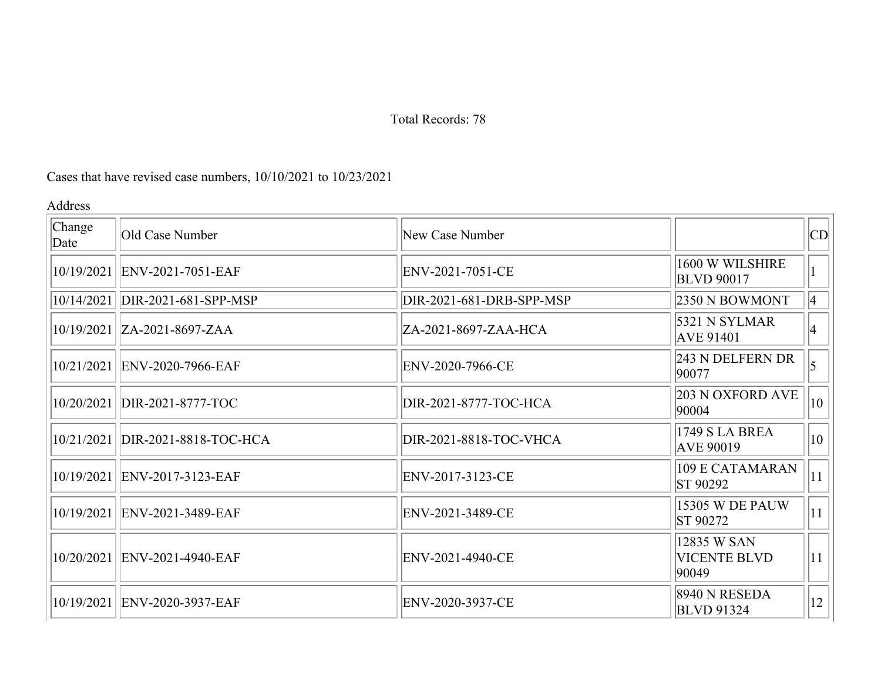## Cases that have revised case numbers, 10/10/2021 to 10/23/2021

Address

| Change<br>Date | Old Case Number                    | New Case Number          |                                             | CD               |
|----------------|------------------------------------|--------------------------|---------------------------------------------|------------------|
|                | 10/19/2021 ENV-2021-7051-EAF       | ENV-2021-7051-CE         | 1600 W WILSHIRE<br><b>BLVD 90017</b>        |                  |
|                | 10/14/2021   DIR-2021-681-SPP-MSP  | DIR-2021-681-DRB-SPP-MSP | 2350 N BOWMONT                              | $ 4\rangle$      |
|                | 10/19/2021   ZA-2021-8697-ZAA      | ZA-2021-8697-ZAA-HCA     | 5321 N SYLMAR<br><b>AVE 91401</b>           | $\vert 4 \vert$  |
|                | 10/21/2021   ENV-2020-7966-EAF     | ENV-2020-7966-CE         | 243 N DELFERN DR<br>90077                   |                  |
|                | 10/20/2021   DIR-2021-8777-TOC     | DIR-2021-8777-TOC-HCA    | 203 N OXFORD AVE<br>90004                   | $\vert 10 \vert$ |
|                | 10/21/2021   DIR-2021-8818-TOC-HCA | DIR-2021-8818-TOC-VHCA   | 1749 S LA BREA<br><b>AVE 90019</b>          | 10               |
|                | 10/19/2021   ENV-2017-3123-EAF     | ENV-2017-3123-CE         | 109 E CATAMARAN<br>ST 90292                 | 11               |
|                | 10/19/2021   ENV-2021-3489-EAF     | ENV-2021-3489-CE         | <b>15305 W DE PAUW</b><br>ST 90272          | 11               |
|                | 10/20/2021 ENV-2021-4940-EAF       | ENV-2021-4940-CE         | 12835 W SAN<br><b>VICENTE BLVD</b><br>90049 | 11               |
|                | 10/19/2021 ENV-2020-3937-EAF       | ENV-2020-3937-CE         | 8940 N RESEDA<br><b>BLVD</b> 91324          | 12 <sup>1</sup>  |